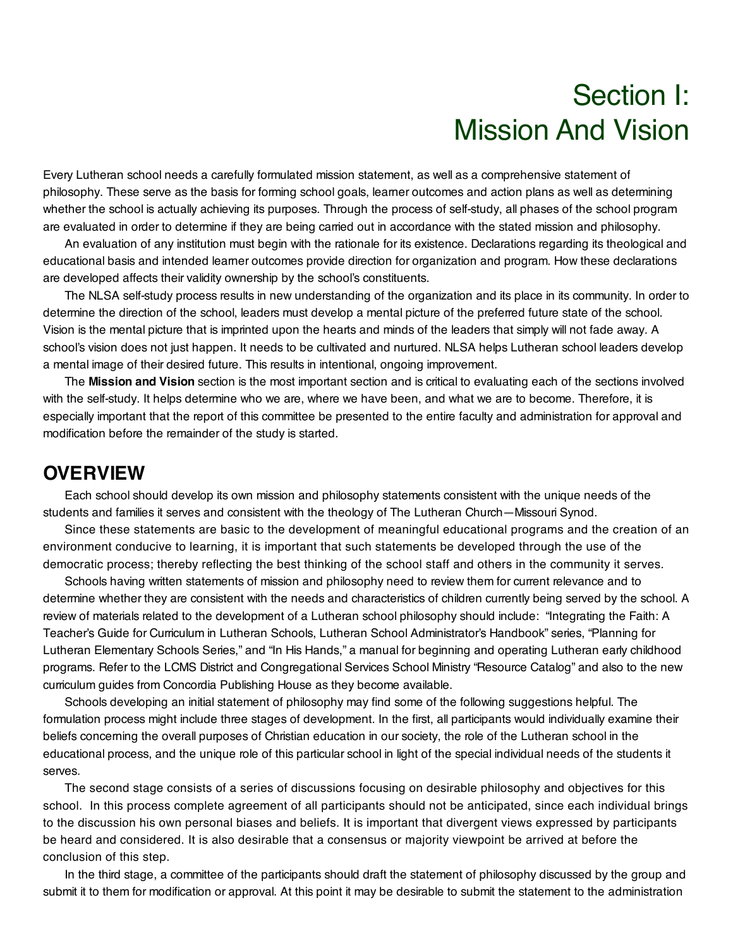# Section I: Mission And Vision

Every Lutheran school needs a carefully formulated mission statement, as well as a comprehensive statement of philosophy. These serve as the basis for forming school goals, learner outcomes and action plans as well as determining whether the school is actually achieving its purposes. Through the process of self-study, all phases of the school program are evaluated in order to determine if they are being carried out in accordance with the stated mission and philosophy.

An evaluation of any institution must begin with the rationale for its existence. Declarations regarding its theological and educational basis and intended learner outcomes provide direction for organization and program. How these declarations are developed affects their validity ownership by the school's constituents.

The NLSA self-study process results in new understanding of the organization and its place in its community. In order to determine the direction of the school, leaders must develop a mental picture of the preferred future state of the school. Vision is the mental picture that is imprinted upon the hearts and minds of the leaders that simply will not fade away. A school's vision does not just happen. It needs to be cultivated and nurtured. NLSA helps Lutheran school leaders develop a mental image of their desired future. This results in intentional, ongoing improvement.

The **Mission and Vision** section is the most important section and is critical to evaluating each of the sections involved with the self-study. It helps determine who we are, where we have been, and what we are to become. Therefore, it is especially important that the report of this committee be presented to the entire faculty and administration for approval and modification before the remainder of the study is started.

#### **OVERVIEW**

Each school should develop its own mission and philosophy statements consistent with the unique needs of the students and families it serves and consistent with the theology of The Lutheran Church—Missouri Synod.

Since these statements are basic to the development of meaningful educational programs and the creation of an environment conducive to learning, it is important that such statements be developed through the use of the democratic process; thereby reflecting the best thinking of the school staff and others in the community it serves.

Schools having written statements of mission and philosophy need to review them for current relevance and to determine whether they are consistent with the needs and characteristics of children currently being served by the school. A review of materials related to the development of a Lutheran school philosophy should include: "Integrating the Faith: A Teacher's Guide for Curriculum in Lutheran Schools, Lutheran School Administrator's Handbook" series, "Planning for Lutheran Elementary Schools Series," and "In His Hands," a manual for beginning and operating Lutheran early childhood programs. Refer to the LCMS District and Congregational Services School Ministry "Resource Catalog" and also to the new curriculum guides from Concordia Publishing House as they become available.

Schools developing an initial statement of philosophy may find some of the following suggestions helpful. The formulation process might include three stages of development. In the first, all participants would individually examine their beliefs concerning the overall purposes of Christian education in our society, the role of the Lutheran school in the educational process, and the unique role of this particular school in light of the special individual needs of the students it serves.

The second stage consists of a series of discussions focusing on desirable philosophy and objectives for this school. In this process complete agreement of all participants should not be anticipated, since each individual brings to the discussion his own personal biases and beliefs. It is important that divergent views expressed by participants be heard and considered. It is also desirable that a consensus or majority viewpoint be arrived at before the conclusion of this step.

In the third stage, a committee of the participants should draft the statement of philosophy discussed by the group and submit it to them for modification or approval. At this point it may be desirable to submit the statement to the administration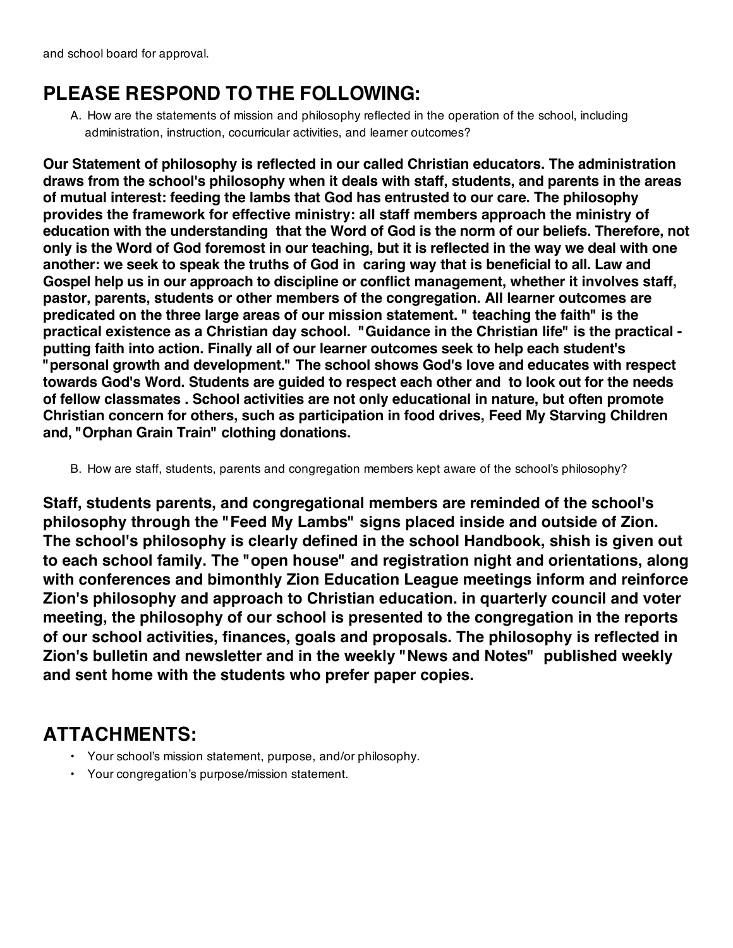#### **PLEASE RESPOND TO THE FOLLOWING:**

A. How are the statements of mission and philosophy reflected in the operation of the school, including administration, instruction, cocurricular activities, and learner outcomes?

**Our Statement of philosophy is reflected in our called Christian educators. The administration draws from the school's philosophy when it deals with staff, students, and parents in the areas of mutual interest: feeding the lambs that God has entrusted to our care. The philosophy provides the framework for effective ministry: all staff members approach the ministry of education with the understanding that the Word of God is the norm of our beliefs. Therefore, not only is the Word of God foremost in our teaching, but it is reflected in the way we deal with one another: we seek to speak the truths of God in caring way that is beneficial to all. Law and Gospel help us in our approach to discipline or conflict management, whether it involves staff, pastor, parents, students or other members of the congregation. All learner outcomes are predicated on the three large areas of our mission statement. " teaching the faith" is the practical existence as a Christian day school. "Guidance in the Christian life" is the practical putting faith into action. Finally all of our learner outcomes seek to help each student's "personal growth and development." The school shows God's love and educates with respect towards God's Word. Students are guided to respect each other and to look out for the needs of fellow classmates . School activities are not only educational in nature, but often promote Christian concern for others, such as participation in food drives, Feed My Starving Children and, "Orphan Grain Train" clothing donations.**

B. How are staff, students, parents and congregation members kept aware of the school's philosophy?

**Staff, students parents, and congregational members are reminded of the school's philosophy through the "Feed My Lambs" signs placed inside and outside of Zion. The school's philosophy is clearly defined in the school Handbook, shish is given out to each school family. The "open house" and registration night and orientations, along with conferences and bimonthly Zion Education League meetings inform and reinforce Zion's philosophy and approach to Christian education. in quarterly council and voter meeting, the philosophy of our school is presented to the congregation in the reports of our school activities, finances, goals and proposals. The philosophy is reflected in Zion's bulletin and newsletter and in the weekly "News and Notes" published weekly and sent home with the students who prefer paper copies.**

#### **ATTACHMENTS:**

- Your school's mission statement, purpose, and/or philosophy.
- Your congregation's purpose/mission statement.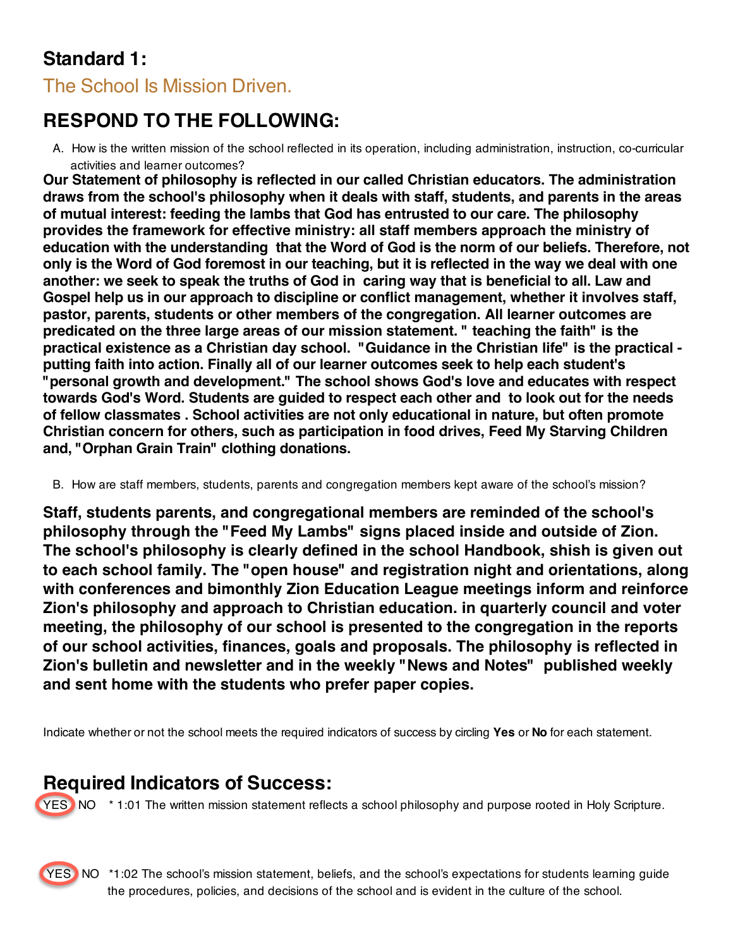# **Standard 1:**

The School Is Mission Driven.

# **RESPOND TO THE FOLLOWING:**

A. How is the written mission of the school reflected in its operation, including administration, instruction, co-curricular activities and learner outcomes?

**Our Statement of philosophy is reflected in our called Christian educators. The administration draws from the school's philosophy when it deals with staff, students, and parents in the areas of mutual interest: feeding the lambs that God has entrusted to our care. The philosophy provides the framework for effective ministry: all staff members approach the ministry of education with the understanding that the Word of God is the norm of our beliefs. Therefore, not only is the Word of God foremost in our teaching, but it is reflected in the way we deal with one another: we seek to speak the truths of God in caring way that is beneficial to all. Law and Gospel help us in our approach to discipline or conflict management, whether it involves staff, pastor, parents, students or other members of the congregation. All learner outcomes are predicated on the three large areas of our mission statement. " teaching the faith" is the practical existence as a Christian day school. "Guidance in the Christian life" is the practical putting faith into action. Finally all of our learner outcomes seek to help each student's "personal growth and development." The school shows God's love and educates with respect towards God's Word. Students are guided to respect each other and to look out for the needs of fellow classmates . School activities are not only educational in nature, but often promote Christian concern for others, such as participation in food drives, Feed My Starving Children and, "Orphan Grain Train" clothing donations.**

B. How are staff members, students, parents and congregation members kept aware of the school's mission?

**Staff, students parents, and congregational members are reminded of the school's philosophy through the "Feed My Lambs" signs placed inside and outside of Zion. The school's philosophy is clearly defined in the school Handbook, shish is given out to each school family. The "open house" and registration night and orientations, along with conferences and bimonthly Zion Education League meetings inform and reinforce Zion's philosophy and approach to Christian education. in quarterly council and voter meeting, the philosophy of our school is presented to the congregation in the reports of our school activities, finances, goals and proposals. The philosophy is reflected in Zion's bulletin and newsletter and in the weekly "News and Notes" published weekly and sent home with the students who prefer paper copies.**

Indicate whether or not the school meets the required indicators of success by circling **Yes** or **No** for each statement.

#### **Required Indicators of Success:**

YES NO  $*$  1:01 The written mission statement reflects a school philosophy and purpose rooted in Holy Scripture.



YES NO \*1:02 The school's mission statement, beliefs, and the school's expectations for students learning guide the procedures, policies, and decisions of the school and is evident in the culture of the school.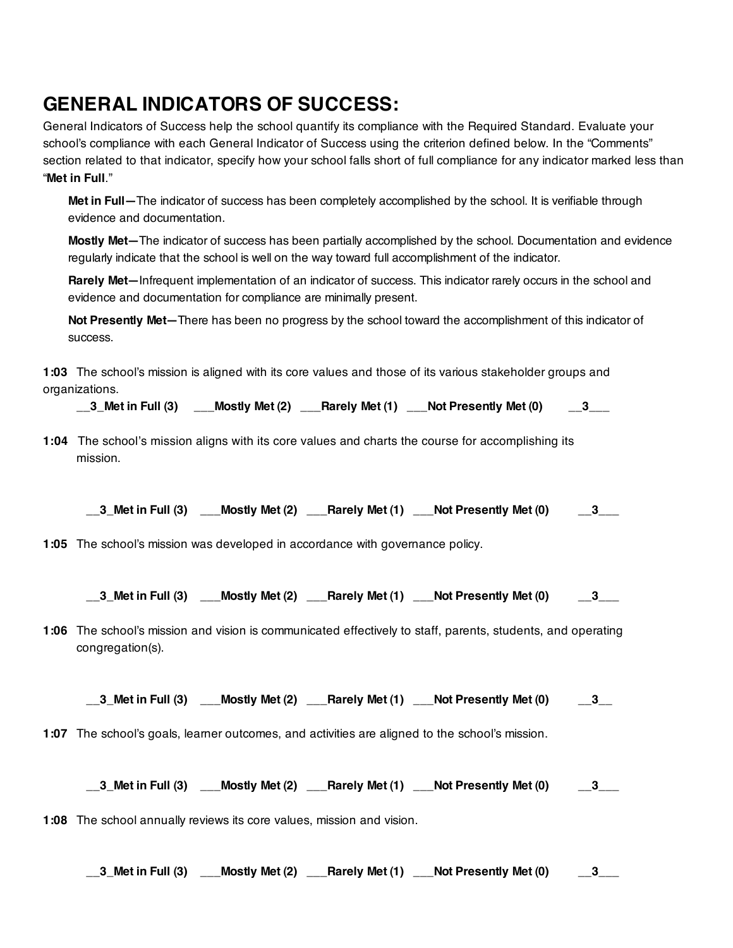### **GENERAL INDICATORS OF SUCCESS:**

General Indicators of Success help the school quantify its compliance with the Required Standard. Evaluate your school's compliance with each General Indicator of Success using the criterion defined below. In the "Comments" section related to that indicator, specify how your school falls short of full compliance for any indicator marked less than "**Met in Full**."

**Met in Full—**The indicator of success has been completely accomplished by the school. It is verifiable through evidence and documentation.

**Mostly Met—**The indicator of success has been partially accomplished by the school. Documentation and evidence regularly indicate that the school is well on the way toward full accomplishment of the indicator.

**Rarely Met—**Infrequent implementation of an indicator of success. This indicator rarely occurs in the school and evidence and documentation for compliance are minimally present.

**Not Presently Met—**There has been no progress by the school toward the accomplishment of this indicator of success.

**1:03** The school's mission is aligned with its core values and those of its various stakeholder groups and organizations.

**\_\_3\_Met in Full (3) \_\_\_Mostly Met (2) \_\_\_Rarely Met (1) \_\_\_Not Presently Met (0) \_\_3\_\_\_**

**1:04** The school's mission aligns with its core values and charts the course for accomplishing its mission.

**\_\_3\_Met in Full (3) \_\_\_Mostly Met (2) \_\_\_Rarely Met (1) \_\_\_Not Presently Met (0) \_\_3\_\_\_**

**1:05** The school's mission was developed in accordance with governance policy.

**\_\_3\_Met in Full (3) \_\_\_Mostly Met (2) \_\_\_Rarely Met (1) \_\_\_Not Presently Met (0) \_\_3\_\_\_**

**1:06** The school's mission and vision is communicated effectively to staff, parents, students, and operating congregation(s).

**\_\_3\_Met in Full (3) \_\_\_Mostly Met (2) \_\_\_Rarely Met (1) \_\_\_Not Presently Met (0) \_\_3\_\_**

**1:07** The school's goals, learner outcomes, and activities are aligned to the school's mission.

**\_\_3\_Met in Full (3) \_\_\_Mostly Met (2) \_\_\_Rarely Met (1) \_\_\_Not Presently Met (0) \_\_3\_\_\_**

**1:08** The school annually reviews its core values, mission and vision.

**\_\_3\_Met in Full (3) \_\_\_Mostly Met (2) \_\_\_Rarely Met (1) \_\_\_Not Presently Met (0) \_\_3\_\_\_**